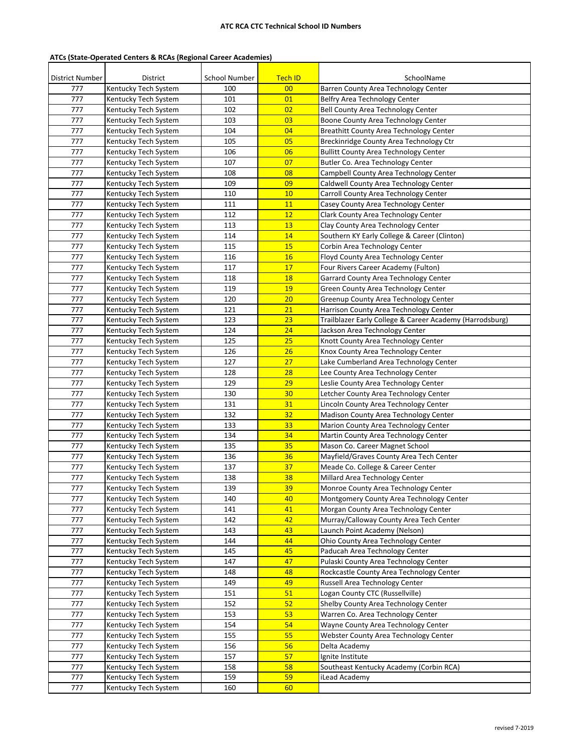## **ATC RCA CTC Technical School ID Numbers**

## **ATCs (State-Operated Centers & RCAs (Regional Career Academies)**

| District Number |                                  | <b>School Number</b> |                      |                                                                           |
|-----------------|----------------------------------|----------------------|----------------------|---------------------------------------------------------------------------|
| 777             | District<br>Kentucky Tech System | 100                  | <b>Tech ID</b><br>00 | SchoolName<br>Barren County Area Technology Center                        |
| 777             | Kentucky Tech System             | 101                  | 01                   | Belfry Area Technology Center                                             |
| 777             |                                  |                      | 02                   |                                                                           |
| 777             | Kentucky Tech System             | 102                  | 03                   | Bell County Area Technology Center<br>Boone County Area Technology Center |
|                 | Kentucky Tech System             | 103                  |                      |                                                                           |
| 777             | Kentucky Tech System             | 104                  | 04                   | Breathitt County Area Technology Center                                   |
| 777             | Kentucky Tech System             | 105                  | 05                   | Breckinridge County Area Technology Ctr                                   |
| 777             | Kentucky Tech System             | 106                  | 06                   | <b>Bullitt County Area Technology Center</b>                              |
| 777             | Kentucky Tech System             | 107                  | 07                   | Butler Co. Area Technology Center                                         |
| 777             | Kentucky Tech System             | 108                  | 08                   | Campbell County Area Technology Center                                    |
| 777             | Kentucky Tech System             | 109                  | 09                   | Caldwell County Area Technology Center                                    |
| 777             | Kentucky Tech System             | 110                  | 10                   | Carroll County Area Technology Center                                     |
| 777             | Kentucky Tech System             | 111                  | 11                   | Casey County Area Technology Center                                       |
| 777             | Kentucky Tech System             | 112                  | 12                   | Clark County Area Technology Center                                       |
| 777             | Kentucky Tech System             | 113                  | 13                   | Clay County Area Technology Center                                        |
| 777             | Kentucky Tech System             | 114                  | 14                   | Southern KY Early College & Career (Clinton)                              |
| 777             | Kentucky Tech System             | 115                  | 15                   | Corbin Area Technology Center                                             |
| 777             | Kentucky Tech System             | 116                  | 16                   | Floyd County Area Technology Center                                       |
| 777             | Kentucky Tech System             | 117                  | 17                   | Four Rivers Career Academy (Fulton)                                       |
| 777             | Kentucky Tech System             | 118                  | <b>18</b>            | Garrard County Area Technology Center                                     |
| 777             | Kentucky Tech System             | 119                  | 19                   | Green County Area Technology Center                                       |
| 777             | Kentucky Tech System             | 120                  | 20                   | Greenup County Area Technology Center                                     |
| 777             | Kentucky Tech System             | 121                  | 21                   | Harrison County Area Technology Center                                    |
| 777             | Kentucky Tech System             | 123                  | 23                   | Trailblazer Early College & Career Academy (Harrodsburg)                  |
| 777             | Kentucky Tech System             | 124                  | 24                   | Jackson Area Technology Center                                            |
| 777             | Kentucky Tech System             | 125                  | 25                   | Knott County Area Technology Center                                       |
| 777             | Kentucky Tech System             | 126                  | 26                   | Knox County Area Technology Center                                        |
| 777             | Kentucky Tech System             | 127                  | 27                   | Lake Cumberland Area Technology Center                                    |
| 777             | Kentucky Tech System             | 128                  | 28                   | Lee County Area Technology Center                                         |
| 777             | Kentucky Tech System             | 129                  | 29                   | Leslie County Area Technology Center                                      |
| 777             | Kentucky Tech System             | 130                  | 30                   | Letcher County Area Technology Center                                     |
| 777             | Kentucky Tech System             | 131                  | 31                   | Lincoln County Area Technology Center                                     |
| 777             | Kentucky Tech System             | 132                  | 32                   | Madison County Area Technology Center                                     |
| 777             | Kentucky Tech System             | 133                  | 33                   | Marion County Area Technology Center                                      |
| 777             | Kentucky Tech System             | 134                  | 34                   | Martin County Area Technology Center                                      |
| 777             | Kentucky Tech System             | 135                  | 35                   | Mason Co. Career Magnet School                                            |
| 777             | Kentucky Tech System             | 136                  | 36                   | Mayfield/Graves County Area Tech Center                                   |
| 777             | Kentucky Tech System             | 137                  | 37                   | Meade Co. College & Career Center                                         |
| 777             | Kentucky Tech System             | 138                  | 38                   | Millard Area Technology Center                                            |
| 777             | Kentucky Tech System             | 139                  | 39                   | Monroe County Area Technology Center                                      |
| 777             | Kentucky Tech System             | 140                  | 40                   | Montgomery County Area Technology Center                                  |
| 777             | Kentucky Tech System             | 141                  | 41                   | Morgan County Area Technology Center                                      |
| 777             | Kentucky Tech System             | 142                  | 42                   | Murray/Calloway County Area Tech Center                                   |
| 777             | Kentucky Tech System             | 143                  | 43                   | Launch Point Academy (Nelson)                                             |
| 777             | Kentucky Tech System             | 144                  | 44                   | Ohio County Area Technology Center                                        |
| 777             | Kentucky Tech System             | 145                  | 45                   | Paducah Area Technology Center                                            |
| 777             | Kentucky Tech System             | 147                  | 47                   | Pulaski County Area Technology Center                                     |
| 777             | Kentucky Tech System             | 148                  | 48                   | Rockcastle County Area Technology Center                                  |
| 777             | Kentucky Tech System             | 149                  | 49                   | Russell Area Technology Center                                            |
| 777             | Kentucky Tech System             | 151                  | 51                   | Logan County CTC (Russellville)                                           |
| 777             | Kentucky Tech System             | 152                  | 52                   | Shelby County Area Technology Center                                      |
| 777             | Kentucky Tech System             | 153                  | 53                   | Warren Co. Area Technology Center                                         |
| 777             | Kentucky Tech System             | 154                  | 54                   | Wayne County Area Technology Center                                       |
| 777             |                                  | 155                  | 55                   | Webster County Area Technology Center                                     |
| 777             | Kentucky Tech System             |                      | 56                   |                                                                           |
| 777             | Kentucky Tech System             | 156                  |                      | Delta Academy                                                             |
|                 | Kentucky Tech System             | 157                  | 57                   | Ignite Institute                                                          |
| 777             | Kentucky Tech System             | 158                  | 58                   | Southeast Kentucky Academy (Corbin RCA)                                   |
| 777             | Kentucky Tech System             | 159                  | 59                   | iLead Academy                                                             |
| 777             | Kentucky Tech System             | 160                  | 60                   |                                                                           |